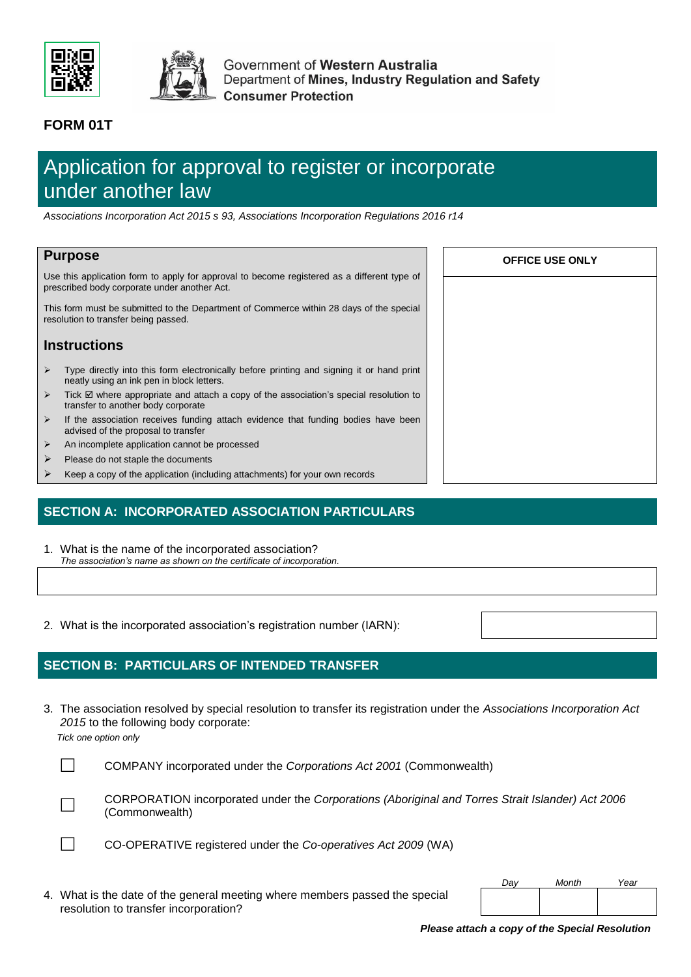



Government of Western Australia Department of Mines, Industry Regulation and Safety **Consumer Protection** 

## **FORM 01T**

# Application for approval to register or incorporate under another law

*Associations Incorporation Act 2015 s 93, Associations Incorporation Regulations 2016 r14*

#### **Purpose**

Use this application form to apply for approval to become registered as a different type of prescribed body corporate under another Act.

This form must be submitted to the Department of Commerce within 28 days of the special resolution to transfer being passed.

#### **Instructions**

- $\triangleright$  Type directly into this form electronically before printing and signing it or hand print neatly using an ink pen in block letters.
- Tick  $\boxtimes$  where appropriate and attach a copy of the association's special resolution to transfer to another body corporate
- If the association receives funding attach evidence that funding bodies have been advised of the proposal to transfer
- An incomplete application cannot be processed
- Please do not staple the documents
- Keep a copy of the application (including attachments) for your own records

## **SECTION A: INCORPORATED ASSOCIATION PARTICULARS**

- 1. What is the name of the incorporated association? *The association's name as shown on the certificate of incorporation.*
- 2. What is the incorporated association's registration number (IARN):

## **SECTION B: PARTICULARS OF INTENDED TRANSFER**

3. The association resolved by special resolution to transfer its registration under the *Associations Incorporation Act 2015* to the following body corporate:

*Tick one option only*





CORPORATION incorporated under the *Corporations (Aboriginal and Torres Strait Islander) Act 2006*  (Commonwealth)



CO-OPERATIVE registered under the *Co-operatives Act 2009* (WA)

4. What is the date of the general meeting where members passed the special resolution to transfer incorporation?

| OFFICE USE ONLY |  |  |  |  |  |  |  |  |  |
|-----------------|--|--|--|--|--|--|--|--|--|
|                 |  |  |  |  |  |  |  |  |  |
|                 |  |  |  |  |  |  |  |  |  |
|                 |  |  |  |  |  |  |  |  |  |
|                 |  |  |  |  |  |  |  |  |  |
|                 |  |  |  |  |  |  |  |  |  |
|                 |  |  |  |  |  |  |  |  |  |
|                 |  |  |  |  |  |  |  |  |  |
|                 |  |  |  |  |  |  |  |  |  |

*Please attach a copy of the Special Resolution* 

*Day Month Year*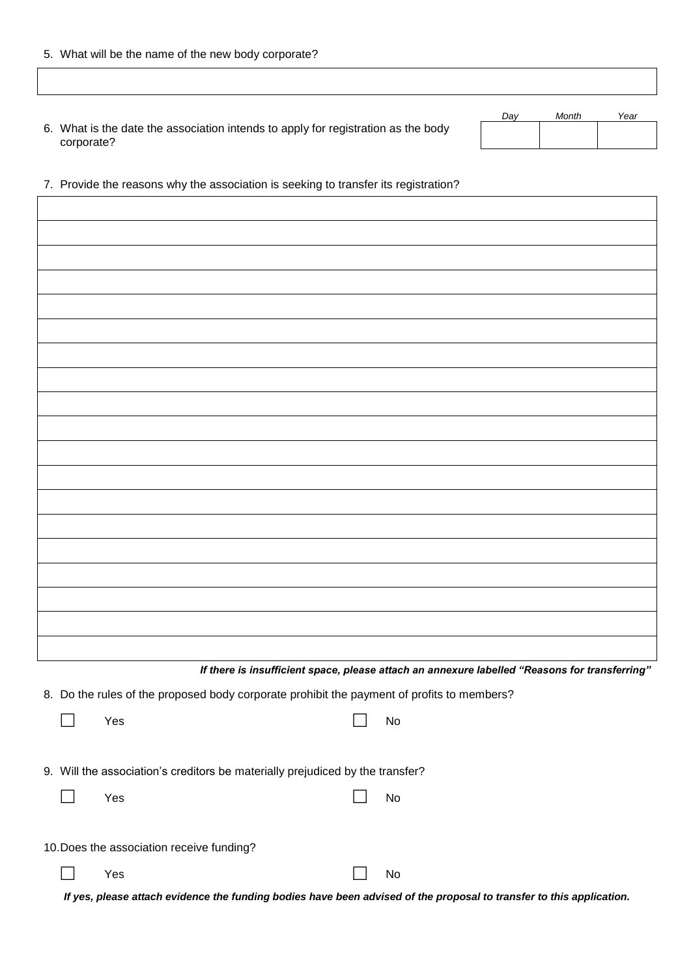|  |  |  |  |  | 5. What will be the name of the new body corporate? |
|--|--|--|--|--|-----------------------------------------------------|
|--|--|--|--|--|-----------------------------------------------------|

|                                                                                                 | Dav | Month | Year |
|-------------------------------------------------------------------------------------------------|-----|-------|------|
| 6. What is the date the association intends to apply for registration as the body<br>corporate? |     |       |      |
|                                                                                                 |     |       |      |

7. Provide the reasons why the association is seeking to transfer its registration?

*If there is insufficient space, please attach an annexure labelled "Reasons for transferring"* 8. Do the rules of the proposed body corporate prohibit the payment of profits to members?  $\Box$  Yes  $\Box$  No 9. Will the association's creditors be materially prejudiced by the transfer?  $\Box$  Yes  $\Box$  No 10.Does the association receive funding?  $\Box$  Yes  $\Box$  No *If yes, please attach evidence the funding bodies have been advised of the proposal to transfer to this application.*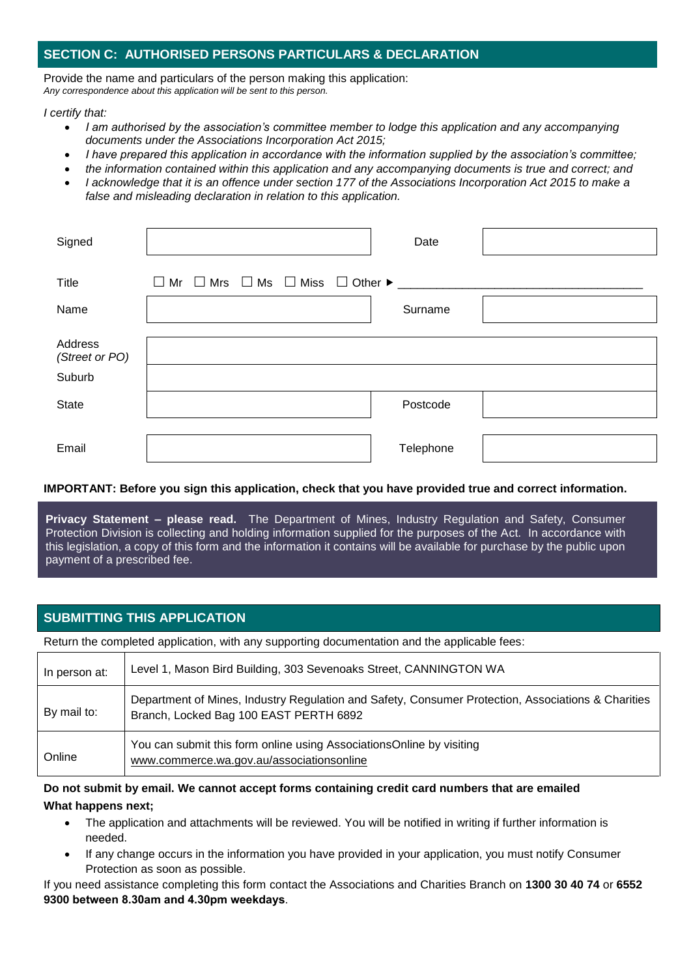#### **SECTION C: AUTHORISED PERSONS PARTICULARS & DECLARATION**

Provide the name and particulars of the person making this application: *Any correspondence about this application will be sent to this person.*

*I certify that:*

- *I am authorised by the association's committee member to lodge this application and any accompanying documents under the Associations Incorporation Act 2015;*
- *I have prepared this application in accordance with the information supplied by the association's committee;*
- *the information contained within this application and any accompanying documents is true and correct; and*
- *I acknowledge that it is an offence under section 177 of the Associations Incorporation Act 2015 to make a false and misleading declaration in relation to this application.*

| Signed                              | Date                                                                                  |
|-------------------------------------|---------------------------------------------------------------------------------------|
| Title                               | $\Box$ Mr $\Box$ Mrs $\Box$ Ms $\Box$ Miss $\Box$ Other $\blacktriangleright$ _______ |
| Name                                | Surname                                                                               |
| Address<br>(Street or PO)<br>Suburb |                                                                                       |
| <b>State</b>                        | Postcode                                                                              |
| Email                               | Telephone                                                                             |

#### **IMPORTANT: Before you sign this application, check that you have provided true and correct information.**

**Privacy Statement – please read.** The Department of Mines, Industry Regulation and Safety, Consumer Protection Division is collecting and holding information supplied for the purposes of the Act. In accordance with this legislation, a copy of this form and the information it contains will be available for purchase by the public upon payment of a prescribed fee.

#### **SUBMITTING THIS APPLICATION**

Return the completed application, with any supporting documentation and the applicable fees:

| In person at: | Level 1, Mason Bird Building, 303 Sevenoaks Street, CANNINGTON WA                                                                            |
|---------------|----------------------------------------------------------------------------------------------------------------------------------------------|
| By mail to:   | Department of Mines, Industry Regulation and Safety, Consumer Protection, Associations & Charities<br>Branch, Locked Bag 100 EAST PERTH 6892 |
| Online        | You can submit this form online using AssociationsOnline by visiting<br>www.commerce.wa.gov.au/associationsonline                            |

#### **Do not submit by email. We cannot accept forms containing credit card numbers that are emailed What happens next;**

- The application and attachments will be reviewed. You will be notified in writing if further information is needed.
- If any change occurs in the information you have provided in your application, you must notify Consumer Protection as soon as possible.

If you need assistance completing this form contact the Associations and Charities Branch on **1300 30 40 74** or **6552 9300 between 8.30am and 4.30pm weekdays**.